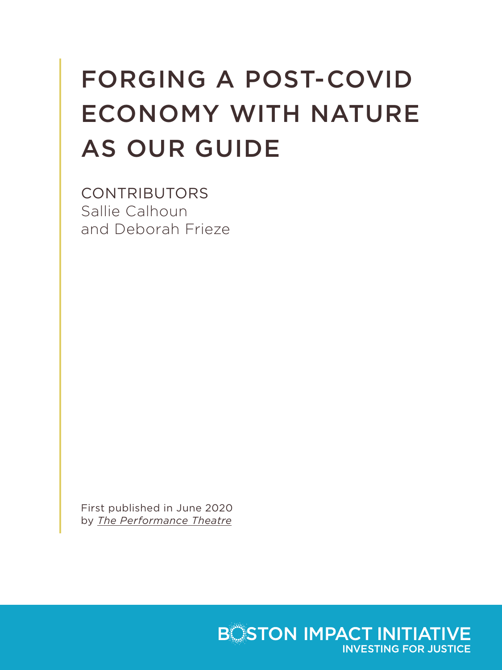# FORGING A POST-COVID ECONOMY WITH NATURE AS OUR GUIDE

CONTRIBUTORS Sallie Calhoun and Deborah Frieze

First published in June 2020 by *[The Performance Theatre](https://theperformancetheatre.com/conversation/forging-post-covid-economy-nature-our-guide)*

> **BOSTON IMPACT INITIATIVE INVESTING FOR JUSTICE**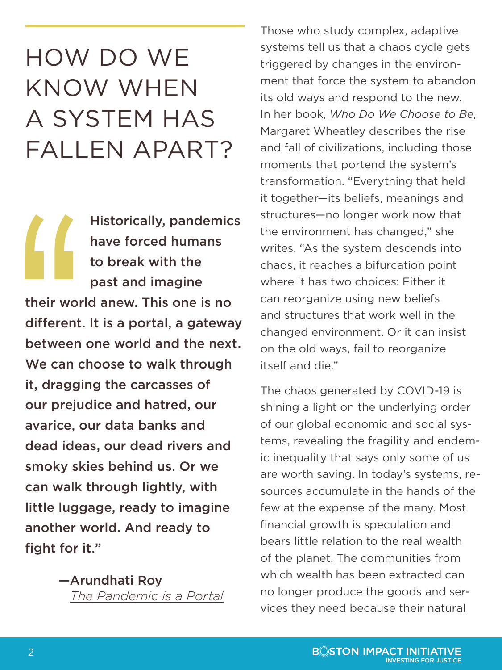### HOW DO WE KNOW WHEN A SYSTEM HAS FALLEN APART?

Historically, pandemics have forced humans to break with the past and imagine their world anew. This one is no different. It is a portal, a gateway between one world and the next. We can choose to walk through it, dragging the carcasses of our prejudice and hatred, our avarice, our data banks and dead ideas, our dead rivers and smoky skies behind us. Or we can walk through lightly, with little luggage, ready to imagine another world. And ready to fight for it."

> —Arundhati Roy *[The Pandemic is a Portal](https://www.ft.com/content/10d8f5e8-74eb-11ea-95fe-fcd274e920ca)*

Those who study complex, adaptive systems tell us that a chaos cycle gets triggered by changes in the environment that force the system to abandon its old ways and respond to the new. In her book, *[Who Do We Choose to Be](https://margaretwheatley.com/books-products/books/who-do-we-choose-to-be/)*, Margaret Wheatley describes the rise and fall of civilizations, including those moments that portend the system's transformation. "Everything that held it together—its beliefs, meanings and structures—no longer work now that the environment has changed," she writes. "As the system descends into chaos, it reaches a bifurcation point where it has two choices: Either it can reorganize using new beliefs and structures that work well in the changed environment. Or it can insist on the old ways, fail to reorganize itself and die."

The chaos generated by COVID-19 is shining a light on the underlying order of our global economic and social systems, revealing the fragility and endemic inequality that says only some of us are worth saving. In today's systems, resources accumulate in the hands of the few at the expense of the many. Most financial growth is speculation and bears little relation to the real wealth of the planet. The communities from which wealth has been extracted can no longer produce the goods and services they need because their natural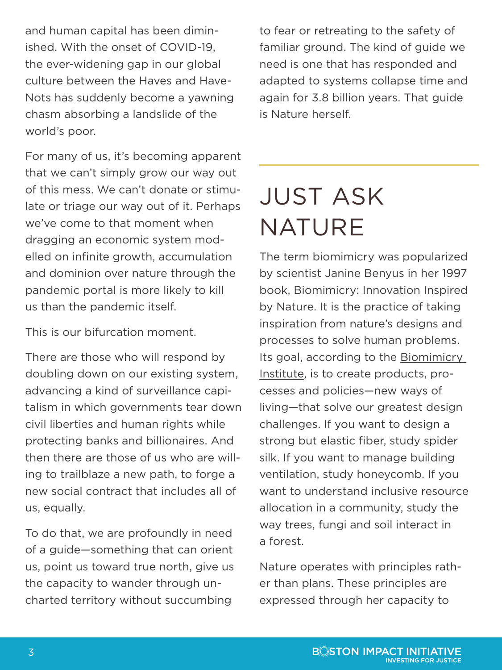and human capital has been diminished. With the onset of COVID-19, the ever-widening gap in our global culture between the Haves and Have-Nots has suddenly become a yawning chasm absorbing a landslide of the world's poor.

For many of us, it's becoming apparent that we can't simply grow our way out of this mess. We can't donate or stimulate or triage our way out of it. Perhaps we've come to that moment when dragging an economic system modelled on infinite growth, accumulation and dominion over nature through the pandemic portal is more likely to kill us than the pandemic itself.

This is our bifurcation moment.

There are those who will respond by doubling down on our existing system, advancing a kind of [surveillance capi](https://www.theguardian.com/technology/2019/jan/20/shoshana-zuboff-age-of-surveillance-capitalism-google-facebook)[talism](https://www.theguardian.com/technology/2019/jan/20/shoshana-zuboff-age-of-surveillance-capitalism-google-facebook) in which governments tear down civil liberties and human rights while protecting banks and billionaires. And then there are those of us who are willing to trailblaze a new path, to forge a new social contract that includes all of us, equally.

To do that, we are profoundly in need of a guide—something that can orient us, point us toward true north, give us the capacity to wander through uncharted territory without succumbing

to fear or retreating to the safety of familiar ground. The kind of guide we need is one that has responded and adapted to systems collapse time and again for 3.8 billion years. That guide is Nature herself.

# JUST ASK NATURE

The term biomimicry was popularized by scientist Janine Benyus in her 1997 book, Biomimicry: Innovation Inspired by Nature. It is the practice of taking inspiration from nature's designs and processes to solve human problems. Its goal, according to the [Biomimicry](https://biomimicry.org/)  [Institute](https://biomimicry.org/), is to create products, processes and policies—new ways of living—that solve our greatest design challenges. If you want to design a strong but elastic fiber, study spider silk. If you want to manage building ventilation, study honeycomb. If you want to understand inclusive resource allocation in a community, study the way trees, fungi and soil interact in a forest.

Nature operates with principles rather than plans. These principles are expressed through her capacity to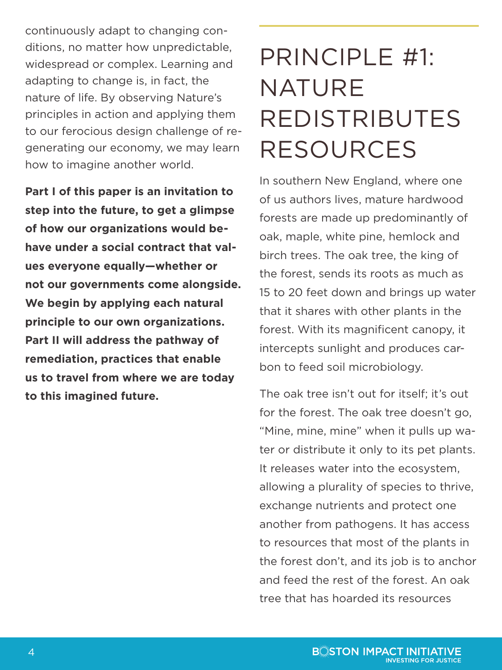continuously adapt to changing conditions, no matter how unpredictable, widespread or complex. Learning and adapting to change is, in fact, the nature of life. By observing Nature's principles in action and applying them to our ferocious design challenge of regenerating our economy, we may learn how to imagine another world.

**Part I of this paper is an invitation to step into the future, to get a glimpse of how our organizations would behave under a social contract that values everyone equally—whether or not our governments come alongside. We begin by applying each natural principle to our own organizations. Part II will address the pathway of remediation, practices that enable us to travel from where we are today to this imagined future.**

## PRINCIPLE #1: NATURE REDISTRIBUTES RESOURCES

In southern New England, where one of us authors lives, mature hardwood forests are made up predominantly of oak, maple, white pine, hemlock and birch trees. The oak tree, the king of the forest, sends its roots as much as 15 to 20 feet down and brings up water that it shares with other plants in the forest. With its magnificent canopy, it intercepts sunlight and produces carbon to feed soil microbiology.

The oak tree isn't out for itself; it's out for the forest. The oak tree doesn't go, "Mine, mine, mine" when it pulls up water or distribute it only to its pet plants. It releases water into the ecosystem, allowing a plurality of species to thrive, exchange nutrients and protect one another from pathogens. It has access to resources that most of the plants in the forest don't, and its job is to anchor and feed the rest of the forest. An oak tree that has hoarded its resources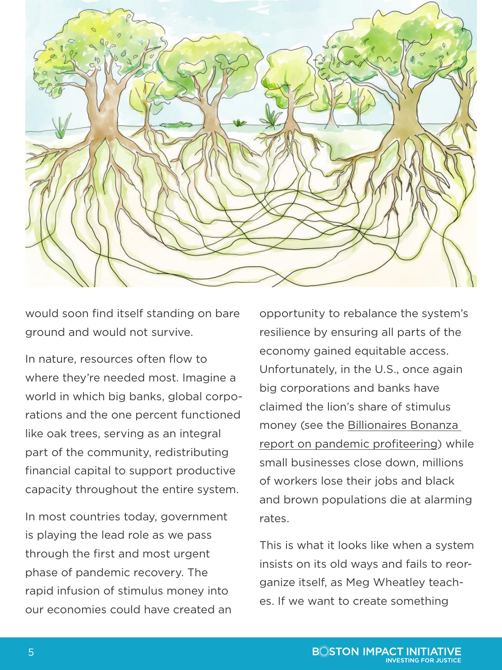

would soon find itself standing on bare ground and would not survive.

In nature, resources often flow to where they're needed most. Imagine a world in which big banks, global corporations and the one percent functioned like oak trees, serving as an integral part of the community, redistributing financial capital to support productive capacity throughout the entire system.

In most countries today, government is playing the lead role as we pass through the first and most urgent phase of pandemic recovery. The rapid infusion of stimulus money into our economies could have created an opportunity to rebalance the system's resilience by ensuring all parts of the economy gained equitable access. Unfortunately, in the U.S., once again big corporations and banks have claimed the lion's share of stimulus money (see the [Billionaires Bonanza](https://ips-dc.org/billionaire-bonanza-2020/)  [report on pandemic profiteering](https://ips-dc.org/billionaire-bonanza-2020/)) while small businesses close down, millions of workers lose their jobs and black and brown populations die at alarming rates.

This is what it looks like when a system insists on its old ways and fails to reorganize itself, as Meg Wheatley teaches. If we want to create something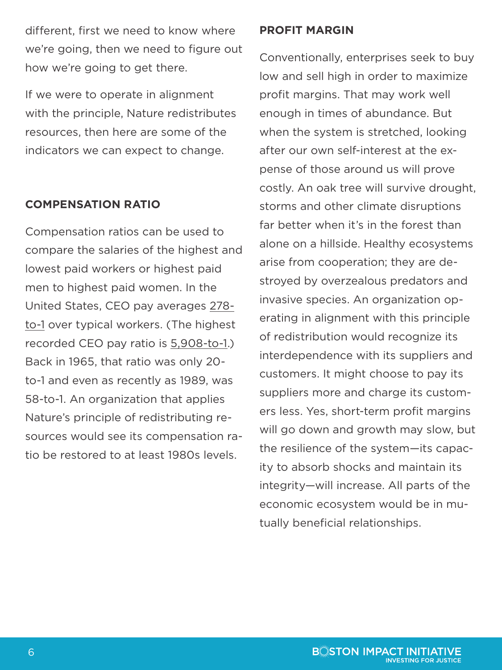different, first we need to know where we're going, then we need to figure out how we're going to get there.

If we were to operate in alignment with the principle, Nature redistributes resources, then here are some of the indicators we can expect to change.

### **COMPENSATION RATIO**

Compensation ratios can be used to compare the salaries of the highest and lowest paid workers or highest paid men to highest paid women. In the United States, CEO pay averages [278](https://www.epi.org/publication/ceo-compensation-2018/) [to-1](https://www.epi.org/publication/ceo-compensation-2018/) over typical workers. (The highest recorded CEO pay ratio is [5,908-to-1.](https://corpgov.law.harvard.edu/2018/05/31/ceo-pay-ratio-a-deep-data-dive/)) Back in 1965, that ratio was only 20 to-1 and even as recently as 1989, was 58-to-1. An organization that applies Nature's principle of redistributing resources would see its compensation ratio be restored to at least 1980s levels.

#### **PROFIT MARGIN**

Conventionally, enterprises seek to buy low and sell high in order to maximize profit margins. That may work well enough in times of abundance. But when the system is stretched, looking after our own self-interest at the expense of those around us will prove costly. An oak tree will survive drought, storms and other climate disruptions far better when it's in the forest than alone on a hillside. Healthy ecosystems arise from cooperation; they are destroyed by overzealous predators and invasive species. An organization operating in alignment with this principle of redistribution would recognize its interdependence with its suppliers and customers. It might choose to pay its suppliers more and charge its customers less. Yes, short-term profit margins will go down and growth may slow, but the resilience of the system—its capacity to absorb shocks and maintain its integrity—will increase. All parts of the economic ecosystem would be in mutually beneficial relationships.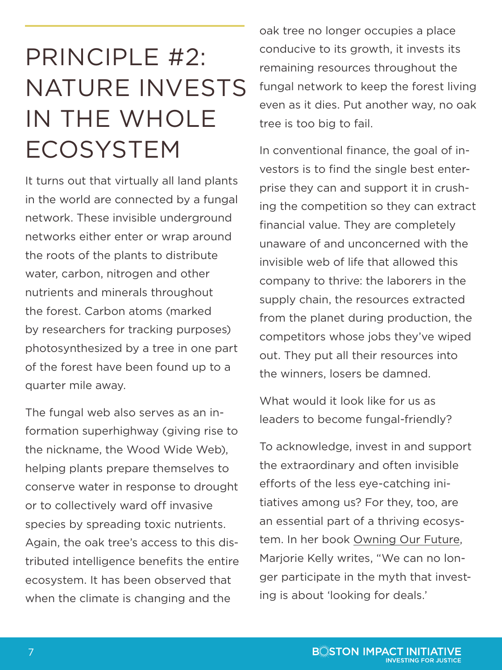### PRINCIPLE #2: NATURE INVESTS IN THE WHOLE ECOSYSTEM

It turns out that virtually all land plants in the world are connected by a fungal network. These invisible underground networks either enter or wrap around the roots of the plants to distribute water, carbon, nitrogen and other nutrients and minerals throughout the forest. Carbon atoms (marked by researchers for tracking purposes) photosynthesized by a tree in one part of the forest have been found up to a quarter mile away.

The fungal web also serves as an information superhighway (giving rise to the nickname, the Wood Wide Web), helping plants prepare themselves to conserve water in response to drought or to collectively ward off invasive species by spreading toxic nutrients. Again, the oak tree's access to this distributed intelligence benefits the entire ecosystem. It has been observed that when the climate is changing and the

oak tree no longer occupies a place conducive to its growth, it invests its remaining resources throughout the fungal network to keep the forest living even as it dies. Put another way, no oak tree is too big to fail.

In conventional finance, the goal of investors is to find the single best enterprise they can and support it in crushing the competition so they can extract financial value. They are completely unaware of and unconcerned with the invisible web of life that allowed this company to thrive: the laborers in the supply chain, the resources extracted from the planet during production, the competitors whose jobs they've wiped out. They put all their resources into the winners, losers be damned.

What would it look like for us as leaders to become fungal-friendly?

To acknowledge, invest in and support the extraordinary and often invisible efforts of the less eye-catching initiatives among us? For they, too, are an essential part of a thriving ecosystem. In her book [Owning Our Future,](https://marjoriekelly.org/books/owning-our-future/) Marjorie Kelly writes, "We can no longer participate in the myth that investing is about 'looking for deals.'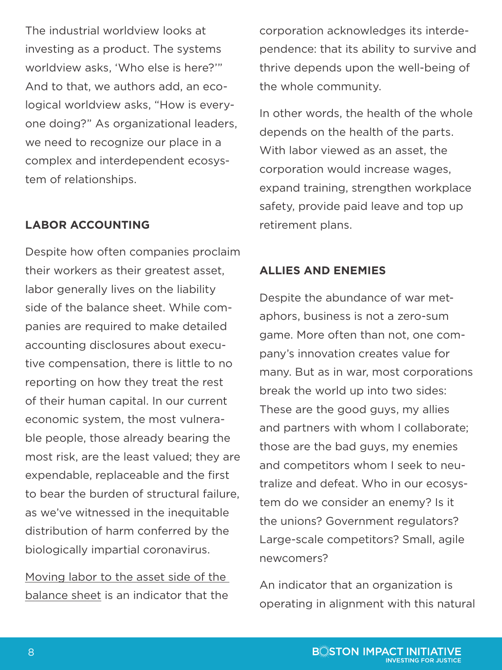The industrial worldview looks at investing as a product. The systems worldview asks, 'Who else is here?'" And to that, we authors add, an ecological worldview asks, "How is everyone doing?" As organizational leaders, we need to recognize our place in a complex and interdependent ecosystem of relationships.

### **LABOR ACCOUNTING**

Despite how often companies proclaim their workers as their greatest asset, labor generally lives on the liability side of the balance sheet. While companies are required to make detailed accounting disclosures about executive compensation, there is little to no reporting on how they treat the rest of their human capital. In our current economic system, the most vulnerable people, those already bearing the most risk, are the least valued; they are expendable, replaceable and the first to bear the burden of structural failure, as we've witnessed in the inequitable distribution of harm conferred by the biologically impartial coronavirus.

[Moving labor to the asset side of the](https://hbr.org/2019/10/the-problem-with-accounting-for-employees-as-costs-instead-of-assets)  [balance sheet](https://hbr.org/2019/10/the-problem-with-accounting-for-employees-as-costs-instead-of-assets) is an indicator that the corporation acknowledges its interdependence: that its ability to survive and thrive depends upon the well-being of the whole community.

In other words, the health of the whole depends on the health of the parts. With labor viewed as an asset, the corporation would increase wages, expand training, strengthen workplace safety, provide paid leave and top up retirement plans.

### **ALLIES AND ENEMIES**

Despite the abundance of war metaphors, business is not a zero-sum game. More often than not, one company's innovation creates value for many. But as in war, most corporations break the world up into two sides: These are the good guys, my allies and partners with whom I collaborate; those are the bad guys, my enemies and competitors whom I seek to neutralize and defeat. Who in our ecosystem do we consider an enemy? Is it the unions? Government regulators? Large-scale competitors? Small, agile newcomers?

An indicator that an organization is operating in alignment with this natural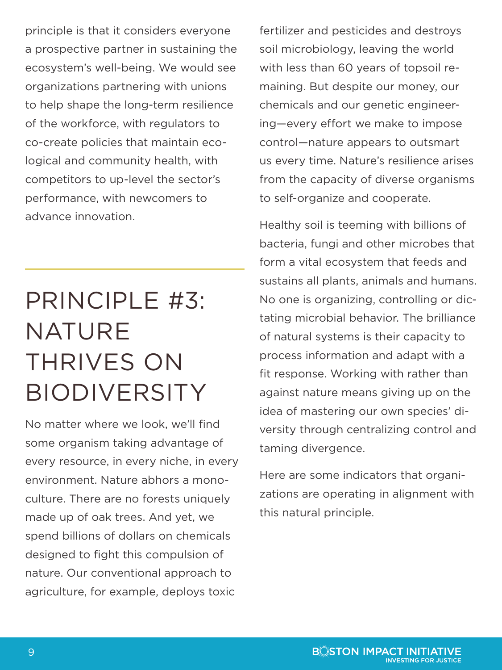principle is that it considers everyone a prospective partner in sustaining the ecosystem's well-being. We would see organizations partnering with unions to help shape the long-term resilience of the workforce, with regulators to co-create policies that maintain ecological and community health, with competitors to up-level the sector's performance, with newcomers to advance innovation.

## PRINCIPLE #3: NATURE THRIVES ON BIODIVERSITY

No matter where we look, we'll find some organism taking advantage of every resource, in every niche, in every environment. Nature abhors a monoculture. There are no forests uniquely made up of oak trees. And yet, we spend billions of dollars on chemicals designed to fight this compulsion of nature. Our conventional approach to agriculture, for example, deploys toxic

fertilizer and pesticides and destroys soil microbiology, leaving the world with less than 60 years of topsoil remaining. But despite our money, our chemicals and our genetic engineering—every effort we make to impose control—nature appears to outsmart us every time. Nature's resilience arises from the capacity of diverse organisms to self-organize and cooperate.

Healthy soil is teeming with billions of bacteria, fungi and other microbes that form a vital ecosystem that feeds and sustains all plants, animals and humans. No one is organizing, controlling or dictating microbial behavior. The brilliance of natural systems is their capacity to process information and adapt with a fit response. Working with rather than against nature means giving up on the idea of mastering our own species' diversity through centralizing control and taming divergence.

Here are some indicators that organizations are operating in alignment with this natural principle.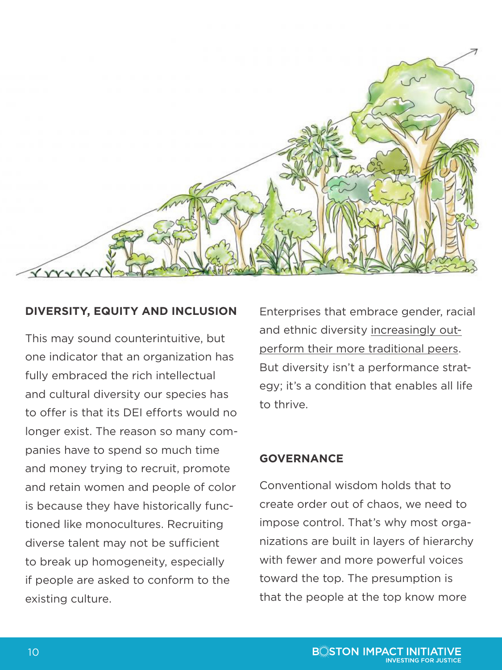

### **DIVERSITY, EQUITY AND INCLUSION**

This may sound counterintuitive, but one indicator that an organization has fully embraced the rich intellectual and cultural diversity our species has to offer is that its DEI efforts would no longer exist. The reason so many companies have to spend so much time and money trying to recruit, promote and retain women and people of color is because they have historically functioned like monocultures. Recruiting diverse talent may not be sufficient to break up homogeneity, especially if people are asked to conform to the existing culture.

Enterprises that embrace gender, racial and ethnic diversity [increasingly out](https://www.weforum.org/agenda/2019/04/business-case-for-diversity-in-the-workplace/)[perform their more traditional peers](https://www.weforum.org/agenda/2019/04/business-case-for-diversity-in-the-workplace/). But diversity isn't a performance strategy; it's a condition that enables all life to thrive.

### **GOVERNANCE**

Conventional wisdom holds that to create order out of chaos, we need to impose control. That's why most organizations are built in layers of hierarchy with fewer and more powerful voices toward the top. The presumption is that the people at the top know more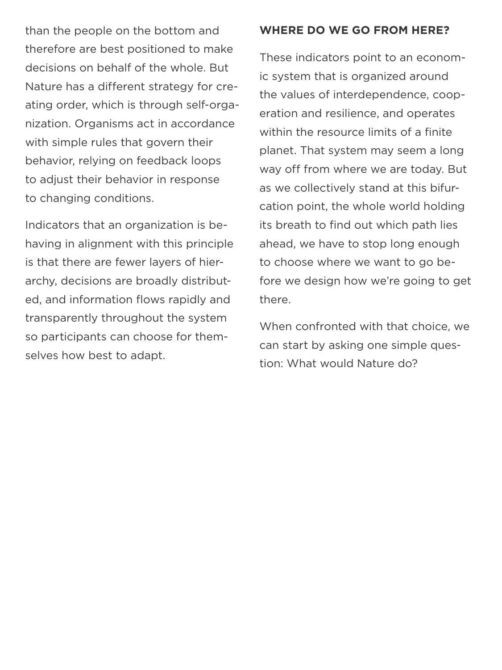than the people on the bottom and therefore are best positioned to make decisions on behalf of the whole. But Nature has a different strategy for creating order, which is through self-organization. Organisms act in accordance with simple rules that govern their behavior, relying on feedback loops to adjust their behavior in response to changing conditions.

Indicators that an organization is behaving in alignment with this principle is that there are fewer layers of hierarchy, decisions are broadly distributed, and information flows rapidly and transparently throughout the system so participants can choose for themselves how best to adapt.

#### **WHERE DO WE GO FROM HERE?**

These indicators point to an economic system that is organized around the values of interdependence, cooperation and resilience, and operates within the resource limits of a finite planet. That system may seem a long way off from where we are today. But as we collectively stand at this bifurcation point, the whole world holding its breath to find out which path lies ahead, we have to stop long enough to choose where we want to go before we design how we're going to get there.

When confronted with that choice, we can start by asking one simple question: What would Nature do?